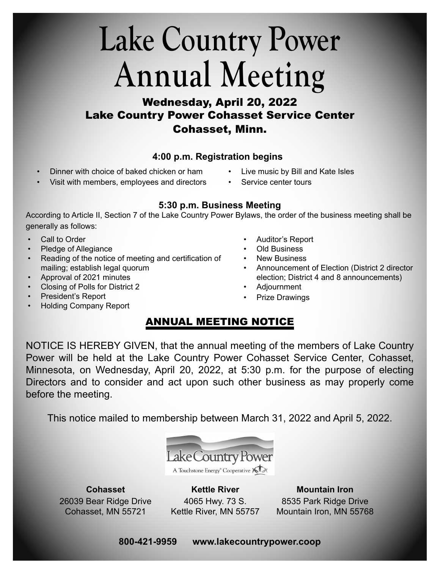### **Lake Country Power Annual Meeting**

#### Wednesday, April 20, 2022 Lake Country Power Cohasset Service Center Cohasset, Minn.

#### **4:00 p.m. Registration begins**

- Dinner with choice of baked chicken or ham
- Live music by Bill and Kate Isles
- Visit with members, employees and directors
- Service center tours

#### **5:30 p.m. Business Meeting**

According to Article II, Section 7 of the Lake Country Power Bylaws, the order of the business meeting shall be generally as follows:

- Call to Order
- Pledge of Allegiance
- Reading of the notice of meeting and certification of mailing; establish legal quorum
- Approval of 2021 minutes
- Closing of Polls for District 2
- President's Report
- Holding Company Report
- Auditor's Report
- Old Business
- New Business
- Announcement of Election (District 2 director election; District 4 and 8 announcements)
- Adjournment
- **Prize Drawings**

#### ANNUAL MEETING NOTICE

NOTICE IS HEREBY GIVEN, that the annual meeting of the members of Lake Country Power will be held at the Lake Country Power Cohasset Service Center, Cohasset, Minnesota, on Wednesday, April 20, 2022, at 5:30 p.m. for the purpose of electing Directors and to consider and act upon such other business as may properly come before the meeting.

This notice mailed to membership between March 31, 2022 and April 5, 2022.



**Cohasset** 26039 Bear Ridge Drive Cohasset, MN 55721

**Kettle River** 4065 Hwy. 73 S. Kettle River, MN 55757

**Mountain Iron** 8535 Park Ridge Drive Mountain Iron, MN 55768

#### **800-421-9959 www.lakecountrypower.coop**